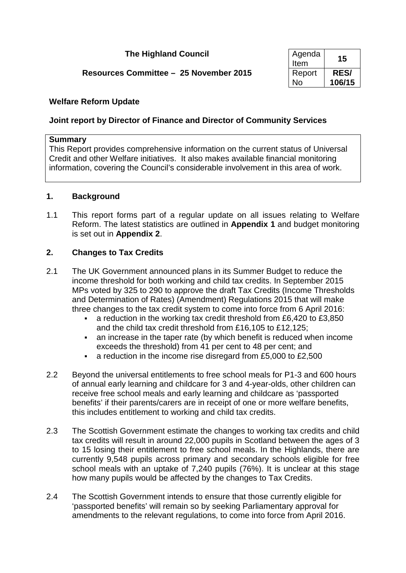# **The Highland Council**

# **Resources Committee – 25 November 2015**

| Agenda<br>Item | 15          |
|----------------|-------------|
| Report         | <b>RES/</b> |
| N٥             | 106/15      |

### **Welfare Reform Update**

### **Joint report by Director of Finance and Director of Community Services**

#### **Summary**

This Report provides comprehensive information on the current status of Universal Credit and other Welfare initiatives. It also makes available financial monitoring information, covering the Council's considerable involvement in this area of work.

### **1. Background**

1.1 This report forms part of a regular update on all issues relating to Welfare Reform. The latest statistics are outlined in **Appendix 1** and budget monitoring is set out in **Appendix 2**.

### **2. Changes to Tax Credits**

- 2.1 The UK Government announced plans in its Summer Budget to reduce the income threshold for both working and child tax credits. In September 2015 MPs voted by 325 to 290 to approve the draft Tax Credits (Income Thresholds and Determination of Rates) (Amendment) Regulations 2015 that will make three changes to the tax credit system to come into force from 6 April 2016:
	- a reduction in the working tax credit threshold from £6,420 to £3,850 and the child tax credit threshold from £16,105 to £12,125;
	- an increase in the taper rate (by which benefit is reduced when income exceeds the threshold) from 41 per cent to 48 per cent; and
	- a reduction in the income rise disregard from £5,000 to £2,500
- 2.2 Beyond the universal entitlements to free school meals for P1-3 and 600 hours of annual early learning and childcare for 3 and 4-year-olds, other children can receive free school meals and early learning and childcare as 'passported benefits' if their parents/carers are in receipt of one or more welfare benefits, this includes entitlement to working and child tax credits.
- 2.3 The Scottish Government estimate the changes to working tax credits and child tax credits will result in around 22,000 pupils in Scotland between the ages of 3 to 15 losing their entitlement to free school meals. In the Highlands, there are currently 9,548 pupils across primary and secondary schools eligible for free school meals with an uptake of 7,240 pupils (76%). It is unclear at this stage how many pupils would be affected by the changes to Tax Credits.
- 2.4 The Scottish Government intends to ensure that those currently eligible for 'passported benefits' will remain so by seeking Parliamentary approval for amendments to the relevant regulations, to come into force from April 2016.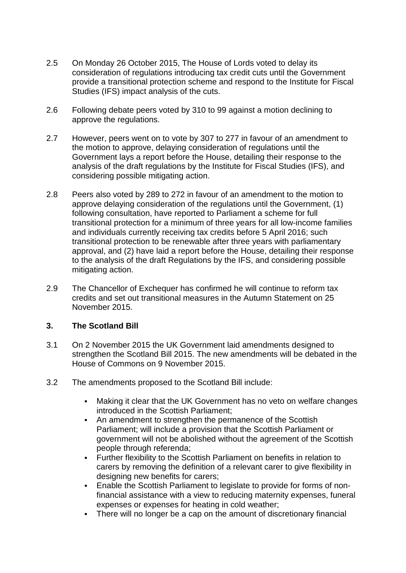- 2.5 On Monday 26 October 2015, The House of Lords voted to delay its consideration of regulations introducing tax credit cuts until the Government provide a transitional protection scheme and respond to the Institute for Fiscal Studies (IFS) impact analysis of the cuts.
- 2.6 Following debate peers voted by 310 to 99 against a motion declining to approve the regulations.
- 2.7 However, peers went on to vote by 307 to 277 in favour of an amendment to the motion to approve, delaying consideration of regulations until the Government lays a report before the House, detailing their response to the analysis of the draft regulations by the Institute for Fiscal Studies (IFS), and considering possible mitigating action.
- 2.8 Peers also voted by 289 to 272 in favour of an amendment to the motion to approve delaying consideration of the regulations until the Government, (1) following consultation, have reported to Parliament a scheme for full transitional protection for a minimum of three years for all low-income families and individuals currently receiving tax credits before 5 April 2016; such transitional protection to be renewable after three years with parliamentary approval, and (2) have laid a report before the House, detailing their response to the analysis of the draft Regulations by the IFS, and considering possible mitigating action.
- 2.9 The Chancellor of Exchequer has confirmed he will continue to reform tax credits and set out transitional measures in the Autumn Statement on 25 November 2015.

## **3. The Scotland Bill**

- 3.1 On 2 November 2015 the UK Government laid amendments designed to strengthen the Scotland Bill 2015. The new amendments will be debated in the House of Commons on 9 November 2015.
- 3.2 The amendments proposed to the Scotland Bill include:
	- Making it clear that the UK Government has no veto on welfare changes introduced in the Scottish Parliament;
	- An amendment to strengthen the permanence of the Scottish Parliament; will include a provision that the Scottish Parliament or government will not be abolished without the agreement of the Scottish people through referenda;
	- Further flexibility to the Scottish Parliament on benefits in relation to carers by removing the definition of a relevant carer to give flexibility in designing new benefits for carers;
	- Enable the Scottish Parliament to legislate to provide for forms of nonfinancial assistance with a view to reducing maternity expenses, funeral expenses or expenses for heating in cold weather;
	- There will no longer be a cap on the amount of discretionary financial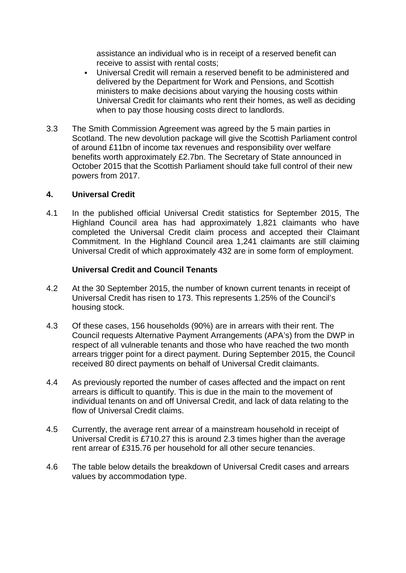assistance an individual who is in receipt of a reserved benefit can receive to assist with rental costs;

- Universal Credit will remain a reserved benefit to be administered and delivered by the Department for Work and Pensions, and Scottish ministers to make decisions about varying the housing costs within Universal Credit for claimants who rent their homes, as well as deciding when to pay those housing costs direct to landlords.
- 3.3 The Smith Commission Agreement was agreed by the 5 main parties in Scotland. The new devolution package will give the Scottish Parliament control of around £11bn of income tax revenues and responsibility over welfare benefits worth approximately £2.7bn. The Secretary of State announced in October 2015 that the Scottish Parliament should take full control of their new powers from 2017.

### **4. Universal Credit**

4.1 In the published official Universal Credit statistics for September 2015, The Highland Council area has had approximately 1,821 claimants who have completed the Universal Credit claim process and accepted their Claimant Commitment. In the Highland Council area 1,241 claimants are still claiming Universal Credit of which approximately 432 are in some form of employment.

### **Universal Credit and Council Tenants**

- 4.2 At the 30 September 2015, the number of known current tenants in receipt of Universal Credit has risen to 173. This represents 1.25% of the Council's housing stock.
- 4.3 Of these cases, 156 households (90%) are in arrears with their rent. The Council requests Alternative Payment Arrangements (APA's) from the DWP in respect of all vulnerable tenants and those who have reached the two month arrears trigger point for a direct payment. During September 2015, the Council received 80 direct payments on behalf of Universal Credit claimants.
- 4.4 As previously reported the number of cases affected and the impact on rent arrears is difficult to quantify. This is due in the main to the movement of individual tenants on and off Universal Credit, and lack of data relating to the flow of Universal Credit claims.
- 4.5 Currently, the average rent arrear of a mainstream household in receipt of Universal Credit is £710.27 this is around 2.3 times higher than the average rent arrear of £315.76 per household for all other secure tenancies.
- 4.6 The table below details the breakdown of Universal Credit cases and arrears values by accommodation type.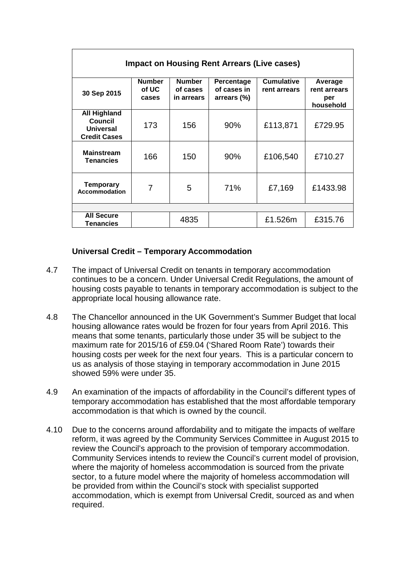| <b>Impact on Housing Rent Arrears (Live cases)</b>                        |                                 |                                         |                                          |                                   |                                             |  |  |
|---------------------------------------------------------------------------|---------------------------------|-----------------------------------------|------------------------------------------|-----------------------------------|---------------------------------------------|--|--|
| 30 Sep 2015                                                               | <b>Number</b><br>of UC<br>cases | <b>Number</b><br>of cases<br>in arrears | Percentage<br>of cases in<br>arrears (%) | <b>Cumulative</b><br>rent arrears | Average<br>rent arrears<br>per<br>household |  |  |
| <b>All Highland</b><br>Council<br><b>Universal</b><br><b>Credit Cases</b> | 173                             | 156                                     | 90%                                      | £113,871                          | £729.95                                     |  |  |
| <b>Mainstream</b><br><b>Tenancies</b>                                     | 166                             | 150                                     | 90%                                      | £106,540                          | £710.27                                     |  |  |
| Temporary<br>Accommodation                                                | 7                               | 5                                       | 71%                                      | £7,169                            | £1433.98                                    |  |  |
|                                                                           |                                 |                                         |                                          |                                   |                                             |  |  |
| <b>All Secure</b><br>Tenancies                                            |                                 | 4835                                    |                                          | £1.526m                           | £315.76                                     |  |  |

### **Universal Credit – Temporary Accommodation**

- 4.7 The impact of Universal Credit on tenants in temporary accommodation continues to be a concern. Under Universal Credit Regulations, the amount of housing costs payable to tenants in temporary accommodation is subject to the appropriate local housing allowance rate.
- 4.8 The Chancellor announced in the UK Government's Summer Budget that local housing allowance rates would be frozen for four years from April 2016. This means that some tenants, particularly those under 35 will be subject to the maximum rate for 2015/16 of £59.04 ('Shared Room Rate') towards their housing costs per week for the next four years. This is a particular concern to us as analysis of those staying in temporary accommodation in June 2015 showed 59% were under 35.
- 4.9 An examination of the impacts of affordability in the Council's different types of temporary accommodation has established that the most affordable temporary accommodation is that which is owned by the council.
- 4.10 Due to the concerns around affordability and to mitigate the impacts of welfare reform, it was agreed by the Community Services Committee in August 2015 to review the Council's approach to the provision of temporary accommodation. Community Services intends to review the Council's current model of provision, where the majority of homeless accommodation is sourced from the private sector, to a future model where the majority of homeless accommodation will be provided from within the Council's stock with specialist supported accommodation, which is exempt from Universal Credit, sourced as and when required.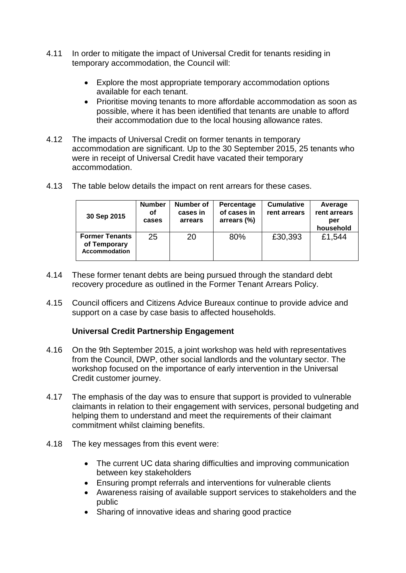- 4.11 In order to mitigate the impact of Universal Credit for tenants residing in temporary accommodation, the Council will:
	- Explore the most appropriate temporary accommodation options available for each tenant.
	- Prioritise moving tenants to more affordable accommodation as soon as possible, where it has been identified that tenants are unable to afford their accommodation due to the local housing allowance rates.
- 4.12 The impacts of Universal Credit on former tenants in temporary accommodation are significant. Up to the 30 September 2015, 25 tenants who were in receipt of Universal Credit have vacated their temporary accommodation.
- 4.13 The table below details the impact on rent arrears for these cases.

| 30 Sep 2015                                                   | <b>Number</b><br>οf<br>cases | Number of<br>cases in<br>arrears | Percentage<br>of cases in<br>arrears (%) | <b>Cumulative</b><br>rent arrears | Average<br>rent arrears<br>per<br>household |
|---------------------------------------------------------------|------------------------------|----------------------------------|------------------------------------------|-----------------------------------|---------------------------------------------|
| <b>Former Tenants</b><br>of Temporary<br><b>Accommodation</b> | 25                           | 20                               | 80%                                      | £30,393                           | £1,544                                      |

- 4.14 These former tenant debts are being pursued through the standard debt recovery procedure as outlined in the Former Tenant Arrears Policy.
- 4.15 Council officers and Citizens Advice Bureaux continue to provide advice and support on a case by case basis to affected households.

## **Universal Credit Partnership Engagement**

- 4.16 On the 9th September 2015, a joint workshop was held with representatives from the Council, DWP, other social landlords and the voluntary sector. The workshop focused on the importance of early intervention in the Universal Credit customer journey.
- 4.17 The emphasis of the day was to ensure that support is provided to vulnerable claimants in relation to their engagement with services, personal budgeting and helping them to understand and meet the requirements of their claimant commitment whilst claiming benefits.
- 4.18 The key messages from this event were:
	- The current UC data sharing difficulties and improving communication between key stakeholders
	- Ensuring prompt referrals and interventions for vulnerable clients
	- Awareness raising of available support services to stakeholders and the public
	- Sharing of innovative ideas and sharing good practice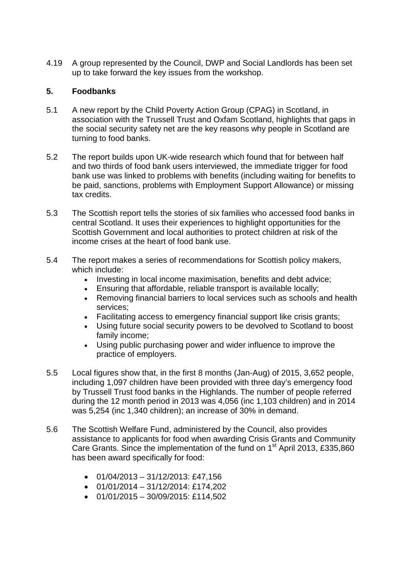4.19 A group represented by the Council, DWP and Social Landlords has been set up to take forward the key issues from the workshop.

## **5. Foodbanks**

- 5.1 A new report by the Child Poverty Action Group (CPAG) in Scotland, in association with the Trussell Trust and Oxfam Scotland, highlights that gaps in the social security safety net are the key reasons why people in Scotland are turning to food banks.
- 5.2 The report builds upon UK-wide research which found that for between half and two thirds of food bank users interviewed, the immediate trigger for food bank use was linked to problems with benefits (including waiting for benefits to be paid, sanctions, problems with Employment Support Allowance) or missing tax credits.
- 5.3 The Scottish report tells the stories of six families who accessed food banks in central Scotland. It uses their experiences to highlight opportunities for the Scottish Government and local authorities to protect children at risk of the income crises at the heart of food bank use.
- 5.4 The report makes a series of recommendations for Scottish policy makers, which include:
	- Investing in local income maximisation, benefits and debt advice;
	- Ensuring that affordable, reliable transport is available locally;
	- Removing financial barriers to local services such as schools and health services;
	- Facilitating access to emergency financial support like crisis grants;
	- Using future social security powers to be devolved to Scotland to boost family income;
	- Using public purchasing power and wider influence to improve the practice of employers.
- 5.5 Local figures show that, in the first 8 months (Jan-Aug) of 2015, 3,652 people, including 1,097 children have been provided with three day's emergency food by Trussell Trust food banks in the Highlands. The number of people referred during the 12 month period in 2013 was 4,056 (inc 1,103 children) and in 2014 was 5,254 (inc 1,340 children); an increase of 30% in demand.
- 5.6 The Scottish Welfare Fund, administered by the Council, also provides assistance to applicants for food when awarding Crisis Grants and Community Care Grants. Since the implementation of the fund on 1<sup>st</sup> April 2013, £335,860 has been award specifically for food:
	- $\bullet$  01/04/2013 31/12/2013: £47,156
	- $\bullet$  01/01/2014 31/12/2014: £174,202
	- $\bullet$  01/01/2015 30/09/2015: £114,502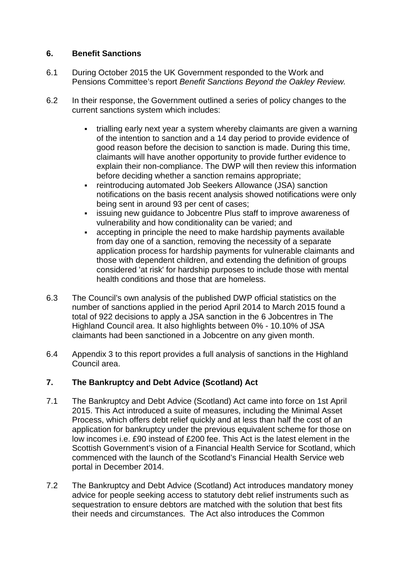### **6. Benefit Sanctions**

- 6.1 During October 2015 the UK Government responded to the Work and Pensions Committee's report *Benefit Sanctions Beyond the Oakley Review.*
- 6.2 In their response, the Government outlined a series of policy changes to the current sanctions system which includes:
	- trialling early next year a system whereby claimants are given a warning of the intention to sanction and a 14 day period to provide evidence of good reason before the decision to sanction is made. During this time, claimants will have another opportunity to provide further evidence to explain their non-compliance. The DWP will then review this information before deciding whether a sanction remains appropriate;
	- reintroducing automated Job Seekers Allowance (JSA) sanction notifications on the basis recent analysis showed notifications were only being sent in around 93 per cent of cases;
	- issuing new guidance to Jobcentre Plus staff to improve awareness of vulnerability and how conditionality can be varied; and
	- accepting in principle the need to make hardship payments available from day one of a sanction, removing the necessity of a separate application process for hardship payments for vulnerable claimants and those with dependent children, and extending the definition of groups considered 'at risk' for hardship purposes to include those with mental health conditions and those that are homeless.
- 6.3 The Council's own analysis of the published DWP official statistics on the number of sanctions applied in the period April 2014 to March 2015 found a total of 922 decisions to apply a JSA sanction in the 6 Jobcentres in The Highland Council area. It also highlights between 0% - 10.10% of JSA claimants had been sanctioned in a Jobcentre on any given month.
- 6.4 Appendix 3 to this report provides a full analysis of sanctions in the Highland Council area.

## **7. The Bankruptcy and Debt Advice (Scotland) Act**

- 7.1 The Bankruptcy and Debt Advice (Scotland) Act came into force on 1st April 2015. This Act introduced a suite of measures, including the Minimal Asset Process, which offers debt relief quickly and at less than half the cost of an application for bankruptcy under the previous equivalent scheme for those on low incomes i.e. £90 instead of £200 fee. This Act is the latest element in the Scottish Government's vision of a Financial Health Service for Scotland, which commenced with the launch of the Scotland's Financial Health Service web portal in December 2014.
- 7.2 The Bankruptcy and Debt Advice (Scotland) Act introduces mandatory money advice for people seeking access to statutory debt relief instruments such as sequestration to ensure debtors are matched with the solution that best fits their needs and circumstances. The Act also introduces the Common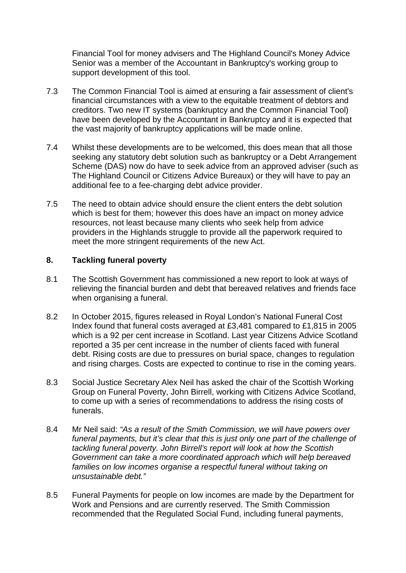Financial Tool for money advisers and The Highland Council's Money Advice Senior was a member of the Accountant in Bankruptcy's working group to support development of this tool.

- 7.3 The Common Financial Tool is aimed at ensuring a fair assessment of client's financial circumstances with a view to the equitable treatment of debtors and creditors. Two new IT systems (bankruptcy and the Common Financial Tool) have been developed by the Accountant in Bankruptcy and it is expected that the vast majority of bankruptcy applications will be made online.
- 7.4 Whilst these developments are to be welcomed, this does mean that all those seeking any statutory debt solution such as bankruptcy or a Debt Arrangement Scheme (DAS) now do have to seek advice from an approved adviser (such as The Highland Council or Citizens Advice Bureaux) or they will have to pay an additional fee to a fee-charging debt advice provider.
- 7.5 The need to obtain advice should ensure the client enters the debt solution which is best for them; however this does have an impact on money advice resources, not least because many clients who seek help from advice providers in the Highlands struggle to provide all the paperwork required to meet the more stringent requirements of the new Act.

### **8. Tackling funeral poverty**

- 8.1 The Scottish Government has commissioned a new report to look at ways of relieving the financial burden and debt that bereaved relatives and friends face when organising a funeral.
- 8.2 In October 2015, figures released in Royal London's National Funeral Cost Index found that funeral costs averaged at £3,481 compared to £1,815 in 2005 which is a 92 per cent increase in Scotland. Last year Citizens Advice Scotland reported a 35 per cent increase in the number of clients faced with funeral debt. Rising costs are due to pressures on burial space, changes to regulation and rising charges. Costs are expected to continue to rise in the coming years.
- 8.3 Social Justice Secretary Alex Neil has asked the chair of the Scottish Working Group on Funeral Poverty, John Birrell, working with Citizens Advice Scotland, to come up with a series of recommendations to address the rising costs of funerals.
- 8.4 Mr Neil said: *"As a result of the Smith Commission, we will have powers over funeral payments, but it's clear that this is just only one part of the challenge of tackling funeral poverty. John Birrell's report will look at how the Scottish Government can take a more coordinated approach which will help bereaved families on low incomes organise a respectful funeral without taking on unsustainable debt."*
- 8.5 Funeral Payments for people on low incomes are made by the Department for Work and Pensions and are currently reserved. The Smith Commission recommended that the Regulated Social Fund, including funeral payments,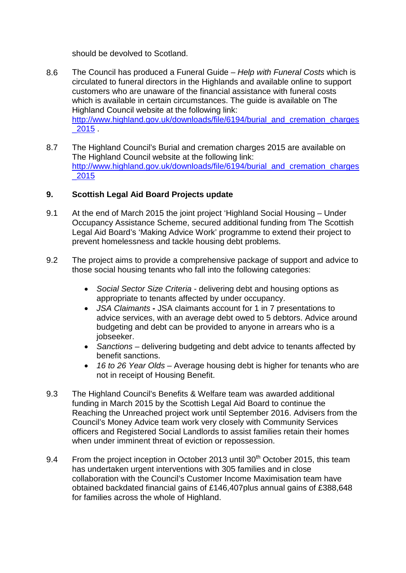should be devolved to Scotland.

- 8.6 The Council has produced a Funeral Guide *Help with Funeral Costs* which is circulated to funeral directors in the Highlands and available online to support customers who are unaware of the financial assistance with funeral costs which is available in certain circumstances. The guide is available on The Highland Council website at the following link: [http://www.highland.gov.uk/downloads/file/6194/burial\\_and\\_cremation\\_charges](http://www.highland.gov.uk/downloads/file/6194/burial_and_cremation_charges_2015) [\\_2015](http://www.highland.gov.uk/downloads/file/6194/burial_and_cremation_charges_2015) .
- 8.7 The Highland Council's Burial and cremation charges 2015 are available on The Highland Council website at the following link: [http://www.highland.gov.uk/downloads/file/6194/burial\\_and\\_cremation\\_charges](http://www.highland.gov.uk/downloads/file/6194/burial_and_cremation_charges_2015) [\\_2015](http://www.highland.gov.uk/downloads/file/6194/burial_and_cremation_charges_2015)

## **9. Scottish Legal Aid Board Projects update**

- 9.1 At the end of March 2015 the joint project 'Highland Social Housing Under Occupancy Assistance Scheme, secured additional funding from The Scottish Legal Aid Board's 'Making Advice Work' programme to extend their project to prevent homelessness and tackle housing debt problems.
- 9.2 The project aims to provide a comprehensive package of support and advice to those social housing tenants who fall into the following categories:
	- *Social Sector Size Criteria* delivering debt and housing options as appropriate to tenants affected by under occupancy.
	- *JSA Claimants* **-** JSA claimants account for 1 in 7 presentations to advice services, with an average debt owed to 5 debtors. Advice around budgeting and debt can be provided to anyone in arrears who is a jobseeker.
	- *Sanctions* delivering budgeting and debt advice to tenants affected by benefit sanctions.
	- *16 to 26 Year Olds* Average housing debt is higher for tenants who are not in receipt of Housing Benefit.
- 9.3 The Highland Council's Benefits & Welfare team was awarded additional funding in March 2015 by the Scottish Legal Aid Board to continue the Reaching the Unreached project work until September 2016. Advisers from the Council's Money Advice team work very closely with Community Services officers and Registered Social Landlords to assist families retain their homes when under imminent threat of eviction or repossession.
- 9.4 From the project inception in October 2013 until 30<sup>th</sup> October 2015, this team has undertaken urgent interventions with 305 families and in close collaboration with the Council's Customer Income Maximisation team have obtained backdated financial gains of £146,407plus annual gains of £388,648 for families across the whole of Highland.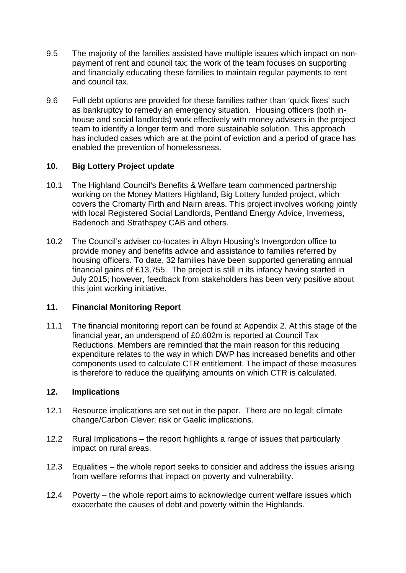- 9.5 The majority of the families assisted have multiple issues which impact on nonpayment of rent and council tax; the work of the team focuses on supporting and financially educating these families to maintain regular payments to rent and council tax.
- 9.6 Full debt options are provided for these families rather than 'quick fixes' such as bankruptcy to remedy an emergency situation. Housing officers (both inhouse and social landlords) work effectively with money advisers in the project team to identify a longer term and more sustainable solution. This approach has included cases which are at the point of eviction and a period of grace has enabled the prevention of homelessness.

## **10. Big Lottery Project update**

- 10.1 The Highland Council's Benefits & Welfare team commenced partnership working on the Money Matters Highland, Big Lottery funded project, which covers the Cromarty Firth and Nairn areas. This project involves working jointly with local Registered Social Landlords, Pentland Energy Advice, Inverness, Badenoch and Strathspey CAB and others.
- 10.2 The Council's adviser co-locates in Albyn Housing's Invergordon office to provide money and benefits advice and assistance to families referred by housing officers. To date, 32 families have been supported generating annual financial gains of £13,755. The project is still in its infancy having started in July 2015; however, feedback from stakeholders has been very positive about this joint working initiative.

## **11. Financial Monitoring Report**

11.1 The financial monitoring report can be found at Appendix 2. At this stage of the financial year, an underspend of £0.602m is reported at Council Tax Reductions. Members are reminded that the main reason for this reducing expenditure relates to the way in which DWP has increased benefits and other components used to calculate CTR entitlement. The impact of these measures is therefore to reduce the qualifying amounts on which CTR is calculated.

## **12. Implications**

- 12.1 Resource implications are set out in the paper. There are no legal; climate change/Carbon Clever; risk or Gaelic implications.
- 12.2 Rural Implications the report highlights a range of issues that particularly impact on rural areas.
- 12.3 Equalities the whole report seeks to consider and address the issues arising from welfare reforms that impact on poverty and vulnerability.
- 12.4 Poverty the whole report aims to acknowledge current welfare issues which exacerbate the causes of debt and poverty within the Highlands.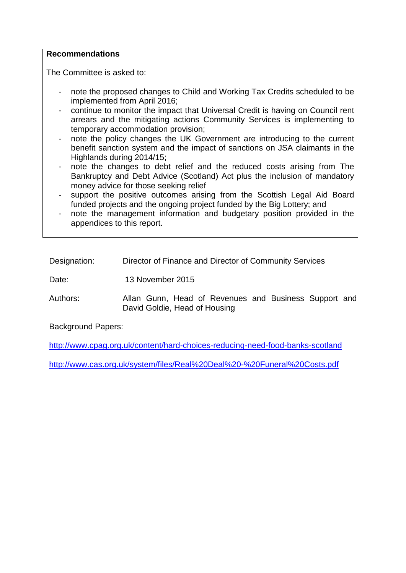#### **Recommendations**

The Committee is asked to:

- note the proposed changes to Child and Working Tax Credits scheduled to be implemented from April 2016;
- continue to monitor the impact that Universal Credit is having on Council rent arrears and the mitigating actions Community Services is implementing to temporary accommodation provision;
- note the policy changes the UK Government are introducing to the current benefit sanction system and the impact of sanctions on JSA claimants in the Highlands during 2014/15;
- note the changes to debt relief and the reduced costs arising from The Bankruptcy and Debt Advice (Scotland) Act plus the inclusion of mandatory money advice for those seeking relief
- support the positive outcomes arising from the Scottish Legal Aid Board funded projects and the ongoing project funded by the Big Lottery; and
- note the management information and budgetary position provided in the appendices to this report.

Designation: Director of Finance and Director of Community Services

Date: 13 November 2015

Authors: Allan Gunn, Head of Revenues and Business Support and David Goldie, Head of Housing

Background Papers:

<http://www.cpag.org.uk/content/hard-choices-reducing-need-food-banks-scotland>

<http://www.cas.org.uk/system/files/Real%20Deal%20-%20Funeral%20Costs.pdf>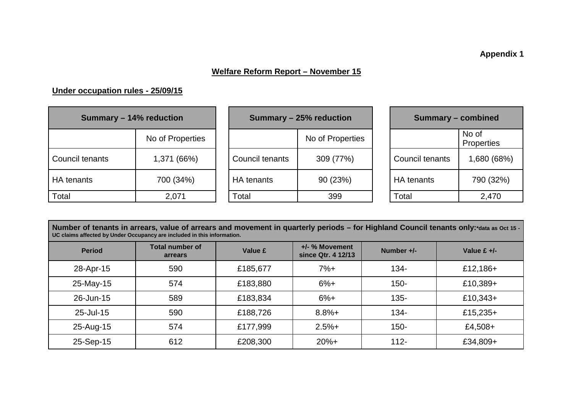# **Welfare Reform Report – November 15**

# **Under occupation rules - 25/09/15**

| <b>Summary - 14% reduction</b> |                  | Summary - 25% reduction |                  | Summary - combined |                     |
|--------------------------------|------------------|-------------------------|------------------|--------------------|---------------------|
|                                | No of Properties |                         | No of Properties |                    | No of<br>Properties |
| Council tenants                | 1,371 (66%)      | Council tenants         | 309 (77%)        | Council tenants    | 1,680 (68%)         |
| <b>HA</b> tenants              | 700 (34%)        | HA tenants              | 90(23%)          | HA tenants         | 790 (32%)           |
| Total                          | 2,071            | Total                   | 399              | Total              | 2,470               |

| <b>Summary - 14% reduction</b> |                  | Summary - 25% reduction |                  | <b>Summary - combined</b> |                     |
|--------------------------------|------------------|-------------------------|------------------|---------------------------|---------------------|
|                                | No of Properties |                         | No of Properties |                           | No of<br>Properties |
| tenants                        | 1,371 (66%)      | Council tenants         | 309 (77%)        | Council tenants           | 1,680 (6            |
| nts                            | 700 (34%)        | HA tenants              | 90 (23%)         | HA tenants                | 790 (32             |
|                                | 2,071            | Total                   | 399              | Total                     | 2,47                |

| <b>Summary - combined</b> |             |  |  |  |
|---------------------------|-------------|--|--|--|
|                           | No of       |  |  |  |
|                           | Properties  |  |  |  |
| Council tenants           | 1,680 (68%) |  |  |  |
| <b>HA</b> tenants         | 790 (32%)   |  |  |  |
| Total                     | 2,470       |  |  |  |

| <b>Period</b> | <b>Total number of</b><br>arrears | Value £  | $+/-$ % Movement<br>since Qtr. 4 12/13 | Number $+/-$ | Value $£ +/-$ |
|---------------|-----------------------------------|----------|----------------------------------------|--------------|---------------|
| 28-Apr-15     | 590                               | £185,677 | $7%+$                                  | $134 -$      | £12,186+      |
| 25-May-15     | 574                               | £183,880 | $6%+$                                  | $150 -$      | £10,389+      |
| 26-Jun-15     | 589                               | £183,834 | $6%+$                                  | $135 -$      | £10,343+      |
| 25-Jul-15     | 590                               | £188,726 | $8.8%+$                                | $134 -$      | £15,235+      |
| 25-Aug-15     | 574                               | £177,999 | $2.5%+$                                | $150 -$      | £4,508+       |
| 25-Sep-15     | 612                               | £208,300 | $20%+$                                 | $112 -$      | £34,809+      |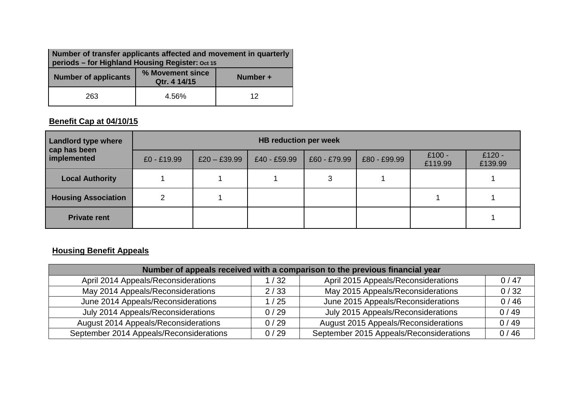| Number of transfer applicants affected and movement in quarterly<br>periods - for Highland Housing Register: Oct 15 |       |    |  |  |
|---------------------------------------------------------------------------------------------------------------------|-------|----|--|--|
| % Movement since<br><b>Number of applicants</b><br>Number +<br>Qtr. 4 14/15                                         |       |    |  |  |
| 263                                                                                                                 | 4.56% | 12 |  |  |

# **Benefit Cap at 04/10/15**

| Landlord type where<br>cap has been | <b>HB reduction per week</b> |                |              |              |              |                     |                     |
|-------------------------------------|------------------------------|----------------|--------------|--------------|--------------|---------------------|---------------------|
| implemented                         | £0 - £19.99                  | $£20 - £39.99$ | £40 - £59.99 | £60 - £79.99 | £80 - £99.99 | $£100 -$<br>£119.99 | $£120 -$<br>£139.99 |
| <b>Local Authority</b>              |                              |                |              | 3            |              |                     |                     |
| <b>Housing Association</b>          |                              |                |              |              |              |                     |                     |
| <b>Private rent</b>                 |                              |                |              |              |              |                     |                     |

# **Housing Benefit Appeals**

| Number of appeals received with a comparison to the previous financial year |      |                                             |      |  |
|-----------------------------------------------------------------------------|------|---------------------------------------------|------|--|
| April 2014 Appeals/Reconsiderations                                         | 1/32 | April 2015 Appeals/Reconsiderations         | 0/47 |  |
| May 2014 Appeals/Reconsiderations                                           | 2/33 | May 2015 Appeals/Reconsiderations           | 0/32 |  |
| June 2014 Appeals/Reconsiderations                                          | 1/25 | June 2015 Appeals/Reconsiderations          | 0/46 |  |
| July 2014 Appeals/Reconsiderations                                          | 0/29 | July 2015 Appeals/Reconsiderations          | 0/49 |  |
| <b>August 2014 Appeals/Reconsiderations</b>                                 | 0/29 | <b>August 2015 Appeals/Reconsiderations</b> | 0/49 |  |
| September 2014 Appeals/Reconsiderations                                     | 0/29 | September 2015 Appeals/Reconsiderations     | 0/46 |  |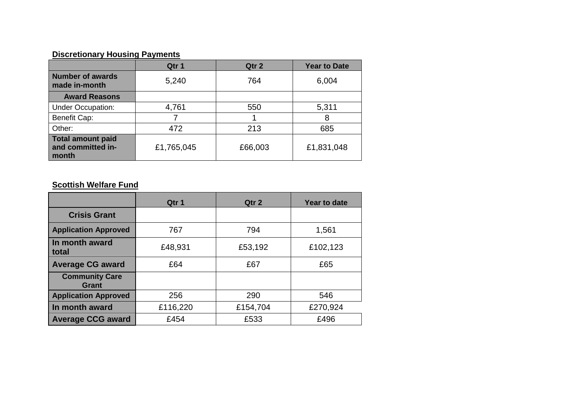# **Discretionary Housing Payments**

|                                                 | Qtr 1      | Qtr 2   | <b>Year to Date</b> |
|-------------------------------------------------|------------|---------|---------------------|
| Number of awards<br>made in-month               | 5,240      | 764     | 6,004               |
| <b>Award Reasons</b>                            |            |         |                     |
| <b>Under Occupation:</b>                        | 4,761      | 550     | 5,311               |
| <b>Benefit Cap:</b>                             |            |         | 8                   |
| Other:                                          | 472        | 213     | 685                 |
| Total amount paid<br>and committed in-<br>month | £1,765,045 | £66,003 | £1,831,048          |

# **Scottish Welfare Fund**

|                                | Qtr 1    | Qtr 2    | Year to date |
|--------------------------------|----------|----------|--------------|
| <b>Crisis Grant</b>            |          |          |              |
| <b>Application Approved</b>    | 767      | 794      | 1,561        |
| In month award<br>total        | £48,931  | £53,192  | £102,123     |
| <b>Average CG award</b>        | £64      | £67      | £65          |
| <b>Community Care</b><br>Grant |          |          |              |
| <b>Application Approved</b>    | 256      | 290      | 546          |
| In month award                 | £116,220 | £154,704 | £270,924     |
| <b>Average CCG award</b>       | £454     | £533     | £496         |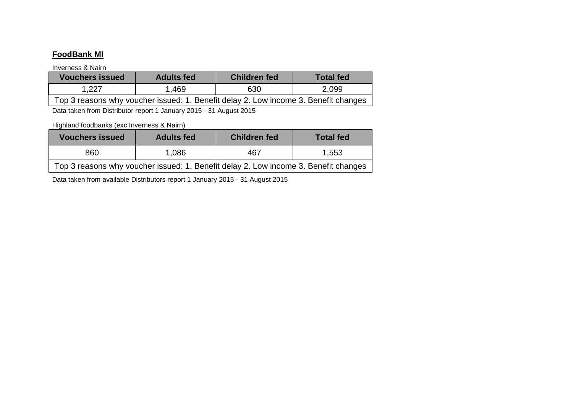## **FoodBank MI**

Inverness & Nairn

| <b>Vouchers issued</b>                                                              | <b>Adults fed</b> | <b>Children fed</b> | <b>Total fed</b> |  |  |  |  |
|-------------------------------------------------------------------------------------|-------------------|---------------------|------------------|--|--|--|--|
| 1.227                                                                               | 1.469             | 630                 | 2,099            |  |  |  |  |
| Top 3 reasons why voucher issued: 1. Benefit delay 2. Low income 3. Benefit changes |                   |                     |                  |  |  |  |  |

Data taken from Distributor report 1 January 2015 - 31 August 2015

Highland foodbanks (exc Inverness & Nairn)

| <b>Vouchers issued</b>                                                              | <b>Adults fed</b> | <b>Children fed</b> | <b>Total fed</b> |  |  |  |  |
|-------------------------------------------------------------------------------------|-------------------|---------------------|------------------|--|--|--|--|
| 860                                                                                 | 1.086             | 467                 | 1,553            |  |  |  |  |
| Top 3 reasons why voucher issued: 1. Benefit delay 2. Low income 3. Benefit changes |                   |                     |                  |  |  |  |  |

Data taken from available Distributors report 1 January 2015 - 31 August 2015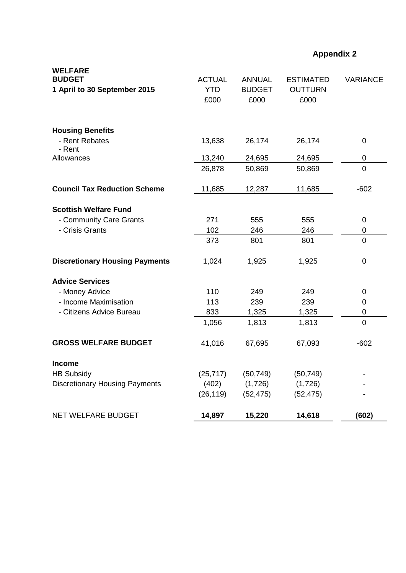**Appendix 2**

| <b>WELFARE</b><br><b>BUDGET</b>       | <b>ACTUAL</b> | <b>ANNUAL</b> | <b>ESTIMATED</b> | <b>VARIANCE</b> |
|---------------------------------------|---------------|---------------|------------------|-----------------|
| 1 April to 30 September 2015          | <b>YTD</b>    | <b>BUDGET</b> | <b>OUTTURN</b>   |                 |
|                                       | £000          | £000          | £000             |                 |
|                                       |               |               |                  |                 |
| <b>Housing Benefits</b>               |               |               |                  |                 |
| - Rent Rebates<br>- Rent              | 13,638        | 26,174        | 26,174           | $\mathbf 0$     |
| Allowances                            | 13,240        | 24,695        | 24,695           | $\pmb{0}$       |
|                                       | 26,878        | 50,869        | 50,869           | $\overline{0}$  |
| <b>Council Tax Reduction Scheme</b>   | 11,685        | 12,287        | 11,685           | $-602$          |
| <b>Scottish Welfare Fund</b>          |               |               |                  |                 |
| - Community Care Grants               | 271           | 555           | 555              | $\mathbf 0$     |
| - Crisis Grants                       | 102           | 246           | 246              | $\pmb{0}$       |
|                                       | 373           | 801           | 801              | $\overline{0}$  |
| <b>Discretionary Housing Payments</b> | 1,024         | 1,925         | 1,925            | $\pmb{0}$       |
| <b>Advice Services</b>                |               |               |                  |                 |
| - Money Advice                        | 110           | 249           | 249              | $\mathbf 0$     |
| - Income Maximisation                 | 113           | 239           | 239              | $\overline{0}$  |
| - Citizens Advice Bureau              | 833           | 1,325         | 1,325            | 0               |
|                                       | 1,056         | 1,813         | 1,813            | $\overline{0}$  |
| <b>GROSS WELFARE BUDGET</b>           | 41,016        | 67,695        | 67,093           | $-602$          |
| Income                                |               |               |                  |                 |
| <b>HB Subsidy</b>                     | (25, 717)     | (50, 749)     | (50, 749)        |                 |
| <b>Discretionary Housing Payments</b> | (402)         | (1,726)       | (1,726)          |                 |
|                                       | (26, 119)     | (52, 475)     | (52, 475)        |                 |
| <b>NET WELFARE BUDGET</b>             | 14,897        | 15,220        | 14,618           | (602)           |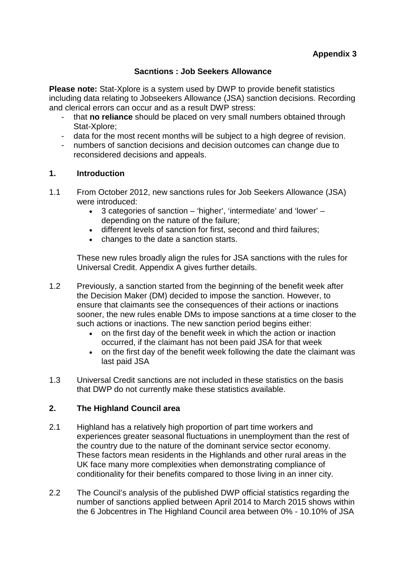### **Sacntions : Job Seekers Allowance**

**Please note:** Stat-Xplore is a system used by DWP to provide benefit statistics including data relating to Jobseekers Allowance (JSA) sanction decisions. Recording and clerical errors can occur and as a result DWP stress:

- that **no reliance** should be placed on very small numbers obtained through Stat-Xplore;
- data for the most recent months will be subject to a high degree of revision.
- numbers of sanction decisions and decision outcomes can change due to reconsidered decisions and appeals.

### **1. Introduction**

- 1.1 From October 2012, new sanctions rules for Job Seekers Allowance (JSA) were introduced:
	- 3 categories of sanction 'higher', 'intermediate' and 'lower' depending on the nature of the failure;
	- different levels of sanction for first, second and third failures;
	- changes to the date a sanction starts.

These new rules broadly align the rules for JSA sanctions with the rules for Universal Credit. Appendix A gives further details.

- 1.2 Previously, a sanction started from the beginning of the benefit week after the Decision Maker (DM) decided to impose the sanction. However, to ensure that claimants see the consequences of their actions or inactions sooner, the new rules enable DMs to impose sanctions at a time closer to the such actions or inactions. The new sanction period begins either:
	- on the first day of the benefit week in which the action or inaction occurred, if the claimant has not been paid JSA for that week
	- on the first day of the benefit week following the date the claimant was last paid JSA
- 1.3 Universal Credit sanctions are not included in these statistics on the basis that DWP do not currently make these statistics available.

## **2. The Highland Council area**

- 2.1 Highland has a relatively high proportion of part time workers and experiences greater seasonal fluctuations in unemployment than the rest of the country due to the nature of the dominant service sector economy. These factors mean residents in the Highlands and other rural areas in the UK face many more complexities when demonstrating compliance of conditionality for their benefits compared to those living in an inner city.
- 2.2 The Council's analysis of the published DWP official statistics regarding the number of sanctions applied between April 2014 to March 2015 shows within the 6 Jobcentres in The Highland Council area between 0% - 10.10% of JSA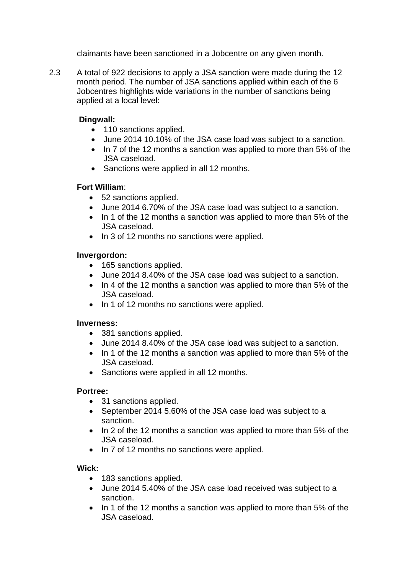claimants have been sanctioned in a Jobcentre on any given month.

2.3 A total of 922 decisions to apply a JSA sanction were made during the 12 month period. The number of JSA sanctions applied within each of the 6 Jobcentres highlights wide variations in the number of sanctions being applied at a local level:

## **Dingwall:**

- 110 sanctions applied.
- June 2014 10.10% of the JSA case load was subject to a sanction.
- In 7 of the 12 months a sanction was applied to more than 5% of the JSA caseload.
- Sanctions were applied in all 12 months.

## **Fort William**:

- 52 sanctions applied.
- June 2014 6.70% of the JSA case load was subject to a sanction.
- In 1 of the 12 months a sanction was applied to more than 5% of the JSA caseload.
- In 3 of 12 months no sanctions were applied.

## **Invergordon:**

- 165 sanctions applied.
- June 2014 8.40% of the JSA case load was subject to a sanction.
- In 4 of the 12 months a sanction was applied to more than 5% of the JSA caseload.
- In 1 of 12 months no sanctions were applied.

## **Inverness:**

- 381 sanctions applied.
- June 2014 8.40% of the JSA case load was subject to a sanction.
- In 1 of the 12 months a sanction was applied to more than 5% of the JSA caseload.
- Sanctions were applied in all 12 months.

## **Portree:**

- 31 sanctions applied.
- September 2014 5.60% of the JSA case load was subject to a sanction.
- In 2 of the 12 months a sanction was applied to more than 5% of the JSA caseload.
- In 7 of 12 months no sanctions were applied.

## **Wick:**

- 183 sanctions applied.
- June 2014 5.40% of the JSA case load received was subject to a sanction.
- In 1 of the 12 months a sanction was applied to more than 5% of the JSA caseload.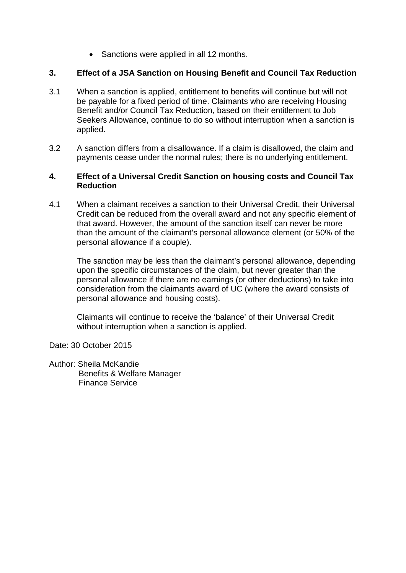• Sanctions were applied in all 12 months.

### **3. Effect of a JSA Sanction on Housing Benefit and Council Tax Reduction**

- 3.1 When a sanction is applied, entitlement to benefits will continue but will not be payable for a fixed period of time. Claimants who are receiving Housing Benefit and/or Council Tax Reduction, based on their entitlement to Job Seekers Allowance, continue to do so without interruption when a sanction is applied.
- 3.2 A sanction differs from a disallowance. If a claim is disallowed, the claim and payments cease under the normal rules; there is no underlying entitlement.

### **4. Effect of a Universal Credit Sanction on housing costs and Council Tax Reduction**

4.1 When a claimant receives a sanction to their Universal Credit, their Universal Credit can be reduced from the overall award and not any specific element of that award. However, the amount of the sanction itself can never be more than the amount of the claimant's personal allowance element (or 50% of the personal allowance if a couple).

The sanction may be less than the claimant's personal allowance, depending upon the specific circumstances of the claim, but never greater than the personal allowance if there are no earnings (or other deductions) to take into consideration from the claimants award of UC (where the award consists of personal allowance and housing costs).

Claimants will continue to receive the 'balance' of their Universal Credit without interruption when a sanction is applied.

Date: 30 October 2015

Author: Sheila McKandie Benefits & Welfare Manager Finance Service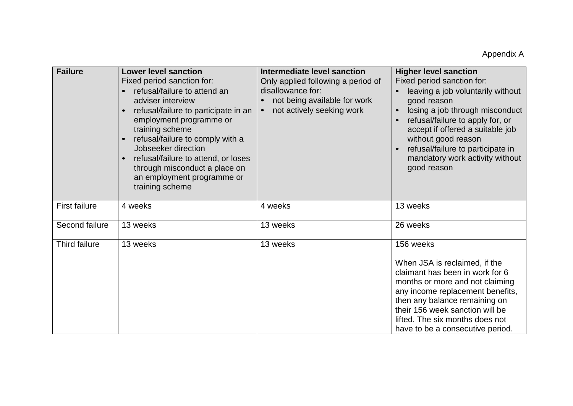# Appendix A

| <b>Failure</b>       | <b>Lower level sanction</b><br>Fixed period sanction for:<br>refusal/failure to attend an<br>adviser interview<br>refusal/failure to participate in an<br>employment programme or<br>training scheme<br>refusal/failure to comply with a<br>Jobseeker direction<br>refusal/failure to attend, or loses<br>through misconduct a place on<br>an employment programme or<br>training scheme | Intermediate level sanction<br>Only applied following a period of<br>disallowance for:<br>not being available for work<br>not actively seeking work<br>$\bullet$ | <b>Higher level sanction</b><br>Fixed period sanction for:<br>leaving a job voluntarily without<br>good reason<br>losing a job through misconduct<br>$\bullet$<br>refusal/failure to apply for, or<br>$\bullet$<br>accept if offered a suitable job<br>without good reason<br>refusal/failure to participate in<br>mandatory work activity without<br>good reason |
|----------------------|------------------------------------------------------------------------------------------------------------------------------------------------------------------------------------------------------------------------------------------------------------------------------------------------------------------------------------------------------------------------------------------|------------------------------------------------------------------------------------------------------------------------------------------------------------------|-------------------------------------------------------------------------------------------------------------------------------------------------------------------------------------------------------------------------------------------------------------------------------------------------------------------------------------------------------------------|
| <b>First failure</b> | 4 weeks                                                                                                                                                                                                                                                                                                                                                                                  | 4 weeks                                                                                                                                                          | 13 weeks                                                                                                                                                                                                                                                                                                                                                          |
| Second failure       | 13 weeks                                                                                                                                                                                                                                                                                                                                                                                 | 13 weeks                                                                                                                                                         | 26 weeks                                                                                                                                                                                                                                                                                                                                                          |
| Third failure        | 13 weeks                                                                                                                                                                                                                                                                                                                                                                                 | 13 weeks                                                                                                                                                         | 156 weeks<br>When JSA is reclaimed, if the<br>claimant has been in work for 6<br>months or more and not claiming<br>any income replacement benefits,<br>then any balance remaining on<br>their 156 week sanction will be<br>lifted. The six months does not<br>have to be a consecutive period.                                                                   |